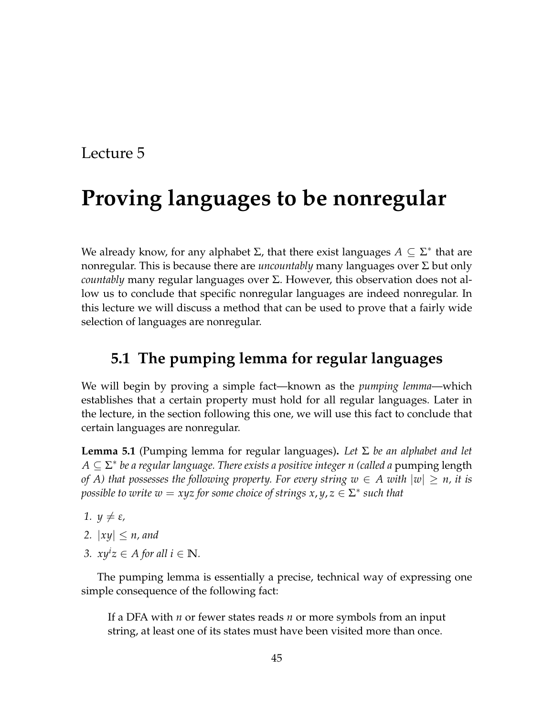# Lecture 5

# **Proving languages to be nonregular**

We already know, for any alphabet  $\Sigma$ , that there exist languages  $A \subseteq \Sigma^*$  that are nonregular. This is because there are *uncountably* many languages over Σ but only *countably* many regular languages over Σ. However, this observation does not allow us to conclude that specific nonregular languages are indeed nonregular. In this lecture we will discuss a method that can be used to prove that a fairly wide selection of languages are nonregular.

## **5.1 The pumping lemma for regular languages**

We will begin by proving a simple fact—known as the *pumping lemma*—which establishes that a certain property must hold for all regular languages. Later in the lecture, in the section following this one, we will use this fact to conclude that certain languages are nonregular.

<span id="page-0-0"></span>**Lemma 5.1** (Pumping lemma for regular languages)**.** *Let* Σ *be an alphabet and let A* ⊆ Σ ∗ *be a regular language. There exists a positive integer n (called a* pumping length *of A) that possesses the following property. For every string*  $w \in A$  *with*  $|w| \geq n$ , it is *possible to write*  $w = xyz$  *for some choice of strings*  $x, y, z \in \Sigma^*$  *such that* 

- *1.*  $\psi \neq \varepsilon$ *,*
- 2.  $|xy| \leq n$ , and
- *3.*  $xy^{i}z \in A$  for all  $i \in \mathbb{N}$ .

The pumping lemma is essentially a precise, technical way of expressing one simple consequence of the following fact:

If a DFA with *n* or fewer states reads *n* or more symbols from an input string, at least one of its states must have been visited more than once.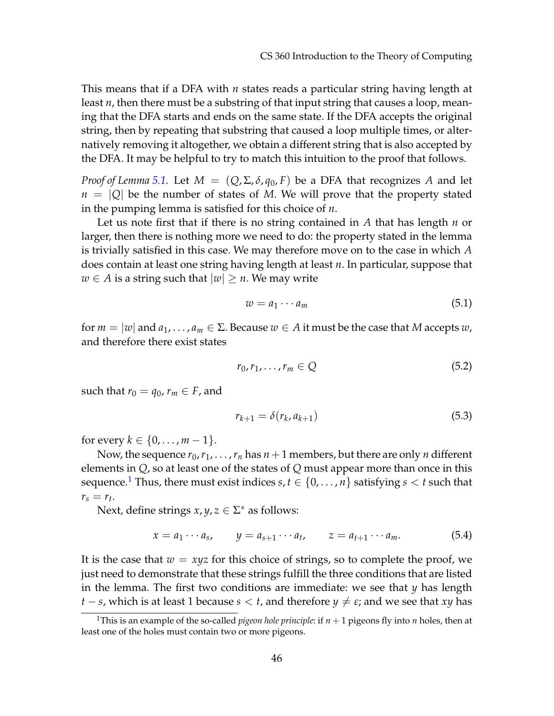This means that if a DFA with *n* states reads a particular string having length at least *n*, then there must be a substring of that input string that causes a loop, meaning that the DFA starts and ends on the same state. If the DFA accepts the original string, then by repeating that substring that caused a loop multiple times, or alternatively removing it altogether, we obtain a different string that is also accepted by the DFA. It may be helpful to try to match this intuition to the proof that follows.

*Proof of Lemma* [5.1.](#page-0-0) Let  $M = (Q, \Sigma, \delta, q_0, F)$  be a DFA that recognizes A and let  $n = |Q|$  be the number of states of *M*. We will prove that the property stated in the pumping lemma is satisfied for this choice of *n*.

Let us note first that if there is no string contained in *A* that has length *n* or larger, then there is nothing more we need to do: the property stated in the lemma is trivially satisfied in this case. We may therefore move on to the case in which *A* does contain at least one string having length at least *n*. In particular, suppose that *w* ∈ *A* is a string such that  $|w|$  ≥ *n*. We may write

$$
w = a_1 \cdots a_m \tag{5.1}
$$

for  $m = |w|$  and  $a_1, \ldots, a_m \in \Sigma$ . Because  $w \in A$  it must be the case that M accepts  $w$ , and therefore there exist states

$$
r_0, r_1, \ldots, r_m \in Q \tag{5.2}
$$

such that  $r_0 = q_0$ ,  $r_m \in F$ , and

$$
r_{k+1} = \delta(r_k, a_{k+1})
$$
\n(5.3)

for every  $k \in \{0, ..., m - 1\}$ .

Now, the sequence  $r_0, r_1, \ldots, r_n$  has  $n+1$  members, but there are only *n* different elements in *Q*, so at least one of the states of *Q* must appear more than once in this sequence.<sup>[1](#page-1-0)</sup> Thus, there must exist indices  $s, t \in \{0, \ldots, n\}$  satisfying  $s < t$  such that  $r_s = r_t$ .

Next, define strings  $x, y, z \in \Sigma^*$  as follows:

$$
x = a_1 \cdots a_s, \qquad y = a_{s+1} \cdots a_t, \qquad z = a_{t+1} \cdots a_m. \tag{5.4}
$$

It is the case that  $w = xyz$  for this choice of strings, so to complete the proof, we just need to demonstrate that these strings fulfill the three conditions that are listed in the lemma. The first two conditions are immediate: we see that *y* has length *t* − *s*, which is at least 1 because *s* < *t*, and therefore  $y \neq \varepsilon$ ; and we see that *xy* has

<span id="page-1-0"></span><sup>&</sup>lt;sup>1</sup>This is an example of the so-called *pigeon hole principle*: if  $n + 1$  pigeons fly into *n* holes, then at least one of the holes must contain two or more pigeons.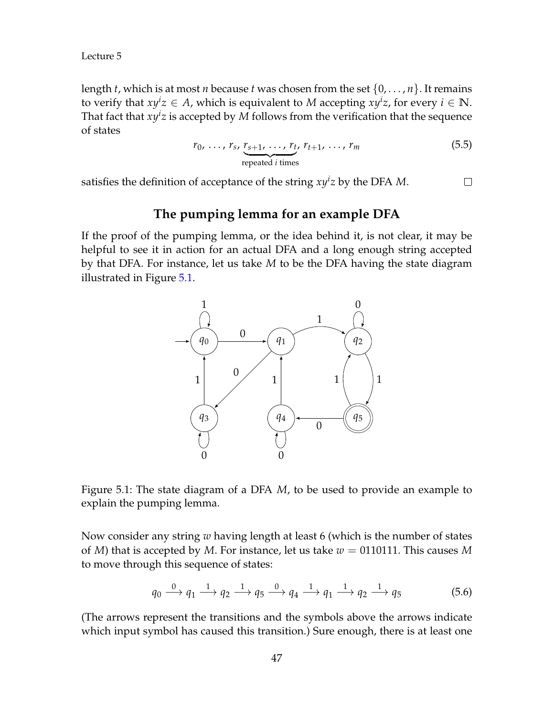Lecture 5

length *t*, which is at most *n* because *t* was chosen from the set  $\{0, \ldots, n\}$ . It remains to verify that  $xy^i z \in A$ , which is equivalent to M accepting  $xy^i z$ , for every  $i \in \mathbb{N}$ . That fact that  $xy^i z$  is accepted by  $M$  follows from the verification that the sequence of states

$$
r_0, \ldots, r_s, \underbrace{r_{s+1}, \ldots, r_t}_{\text{repeated } i \text{ times}}, r_{t+1}, \ldots, r_m
$$
\n
$$
(5.5)
$$

satisfies the definition of acceptance of the string  $xy^iz$  by the DFA M.  $\Box$ 

### **The pumping lemma for an example DFA**

If the proof of the pumping lemma, or the idea behind it, is not clear, it may be helpful to see it in action for an actual DFA and a long enough string accepted by that DFA. For instance, let us take *M* to be the DFA having the state diagram illustrated in Figure [5.1.](#page-2-0)



<span id="page-2-0"></span>

Now consider any string *w* having length at least 6 (which is the number of states of *M*) that is accepted by *M*. For instance, let us take  $w = 0110111$ . This causes *M* to move through this sequence of states:

$$
q_0 \xrightarrow{0} q_1 \xrightarrow{1} q_2 \xrightarrow{1} q_5 \xrightarrow{0} q_4 \xrightarrow{1} q_1 \xrightarrow{1} q_2 \xrightarrow{1} q_5
$$
 (5.6)

(The arrows represent the transitions and the symbols above the arrows indicate which input symbol has caused this transition.) Sure enough, there is at least one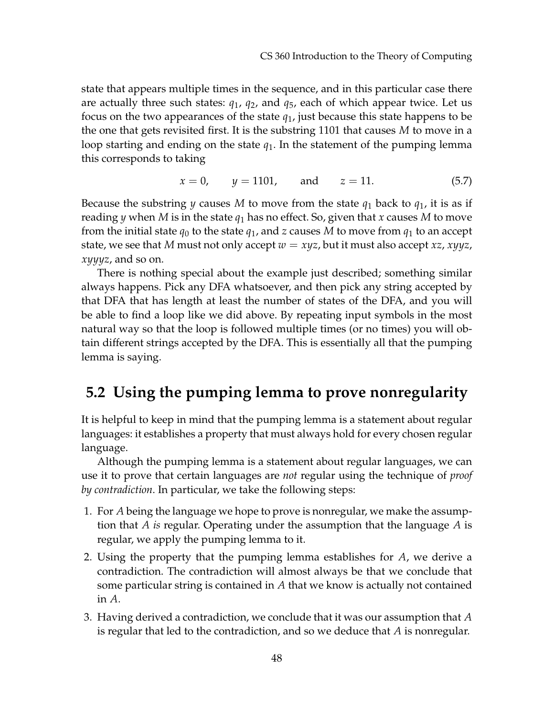state that appears multiple times in the sequence, and in this particular case there are actually three such states: *q*1, *q*2, and *q*5, each of which appear twice. Let us focus on the two appearances of the state *q*1, just because this state happens to be the one that gets revisited first. It is the substring 1101 that causes *M* to move in a loop starting and ending on the state *q*1. In the statement of the pumping lemma this corresponds to taking

$$
x = 0,
$$
  $y = 1101,$  and  $z = 11.$  (5.7)

Because the substring *y* causes *M* to move from the state  $q_1$  back to  $q_1$ , it is as if reading *y* when *M* is in the state  $q_1$  has no effect. So, given that *x* causes *M* to move from the initial state  $q_0$  to the state  $q_1$ , and *z* causes *M* to move from  $q_1$  to an accept state, we see that *M* must not only accept  $w = xyz$ , but it must also accept  $xz$ ,  $xyyz$ , *xyyyz*, and so on.

There is nothing special about the example just described; something similar always happens. Pick any DFA whatsoever, and then pick any string accepted by that DFA that has length at least the number of states of the DFA, and you will be able to find a loop like we did above. By repeating input symbols in the most natural way so that the loop is followed multiple times (or no times) you will obtain different strings accepted by the DFA. This is essentially all that the pumping lemma is saying.

# **5.2 Using the pumping lemma to prove nonregularity**

It is helpful to keep in mind that the pumping lemma is a statement about regular languages: it establishes a property that must always hold for every chosen regular language.

Although the pumping lemma is a statement about regular languages, we can use it to prove that certain languages are *not* regular using the technique of *proof by contradiction*. In particular, we take the following steps:

- 1. For *A* being the language we hope to prove is nonregular, we make the assumption that *A is* regular. Operating under the assumption that the language *A* is regular, we apply the pumping lemma to it.
- 2. Using the property that the pumping lemma establishes for *A*, we derive a contradiction. The contradiction will almost always be that we conclude that some particular string is contained in *A* that we know is actually not contained in *A*.
- 3. Having derived a contradiction, we conclude that it was our assumption that *A* is regular that led to the contradiction, and so we deduce that *A* is nonregular.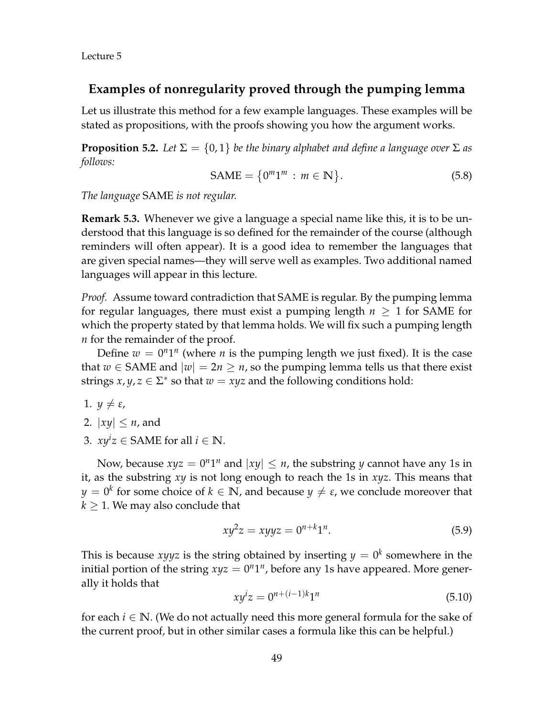Lecture 5

### **Examples of nonregularity proved through the pumping lemma**

Let us illustrate this method for a few example languages. These examples will be stated as propositions, with the proofs showing you how the argument works.

**Proposition 5.2.** Let  $\Sigma = \{0, 1\}$  be the binary alphabet and define a language over  $\Sigma$  as *follows:*

$$
\text{SAME} = \{0^m 1^m : m \in \mathbb{N}\}. \tag{5.8}
$$

*The language* SAME *is not regular.*

**Remark 5.3.** Whenever we give a language a special name like this, it is to be understood that this language is so defined for the remainder of the course (although reminders will often appear). It is a good idea to remember the languages that are given special names—they will serve well as examples. Two additional named languages will appear in this lecture.

*Proof.* Assume toward contradiction that SAME is regular. By the pumping lemma for regular languages, there must exist a pumping length *n* ≥ 1 for SAME for which the property stated by that lemma holds. We will fix such a pumping length *n* for the remainder of the proof.

Define  $w = 0^n 1^n$  (where *n* is the pumping length we just fixed). It is the case that  $w \in$  SAME and  $|w| = 2n \ge n$ , so the pumping lemma tells us that there exist strings  $x, y, z \in \Sigma^*$  so that  $w = xyz$  and the following conditions hold:

1.  $y \neq \varepsilon$ ,

- 2.  $|xy| \leq n$ , and
- 3.  $xy^{i}z \in$  SAME for all  $i \in \mathbb{N}$ .

Now, because  $xyz = 0^n1^n$  and  $|xy| \le n$ , the substring *y* cannot have any 1s in it, as the substring *xy* is not long enough to reach the 1s in *xyz*. This means that  $y = 0^k$  for some choice of  $k \in \mathbb{N}$ , and because  $y \neq \varepsilon$ , we conclude moreover that  $k \geq 1$ . We may also conclude that

$$
xy^2z = xyyz = 0^{n+k}1^n.
$$
 (5.9)

This is because  $xyyz$  is the string obtained by inserting  $y = 0<sup>k</sup>$  somewhere in the initial portion of the string  $xyz = 0^n1^n$ , before any 1s have appeared. More generally it holds that

$$
xy^{i}z = 0^{n+(i-1)k}1^{n}
$$
\n(5.10)

for each  $i \in \mathbb{N}$ . (We do not actually need this more general formula for the sake of the current proof, but in other similar cases a formula like this can be helpful.)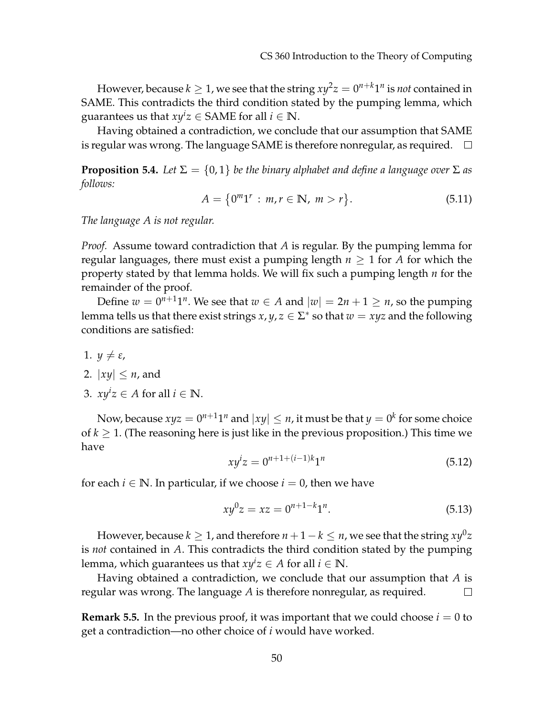However, because  $k\geq 1$ , we see that the string  $xy^2z=0^{n+k}1^n$  is *not* contained in SAME. This contradicts the third condition stated by the pumping lemma, which guarantees us that  $xy^{i}z \in$  SAME for all  $i \in \mathbb{N}$ .

Having obtained a contradiction, we conclude that our assumption that SAME is regular was wrong. The language SAME is therefore nonregular, as required.  $\Box$ 

<span id="page-5-0"></span>**Proposition 5.4.** *Let*  $\Sigma = \{0, 1\}$  *be the binary alphabet and define a language over*  $\Sigma$  *as follows:*

$$
A = \{0^m 1^r : m, r \in \mathbb{N}, m > r\}.
$$
 (5.11)

*The language A is not regular.*

*Proof.* Assume toward contradiction that *A* is regular. By the pumping lemma for regular languages, there must exist a pumping length  $n \geq 1$  for *A* for which the property stated by that lemma holds. We will fix such a pumping length *n* for the remainder of the proof.

Define  $w = 0^{n+1}1^n$ . We see that  $w \in A$  and  $|w| = 2n + 1 \ge n$ , so the pumping lemma tells us that there exist strings  $x, y, z \in \Sigma^*$  so that  $w = xyz$  and the following conditions are satisfied:

- 1.  $y \neq \varepsilon$ ,
- 2.  $|xy| < n$ , and
- 3.  $xy^{i}z \in A$  for all  $i \in \mathbb{N}$ .

Now, because  $xyz = 0^{n+1}1^n$  and  $|xy| \le n$ , it must be that  $y = 0^k$  for some choice of  $k \geq 1$ . (The reasoning here is just like in the previous proposition.) This time we have

$$
xy^{i}z = 0^{n+1+(i-1)k}1^{n}
$$
\n(5.12)

for each  $i \in \mathbb{N}$ . In particular, if we choose  $i = 0$ , then we have

$$
xy^0z = xz = 0^{n+1-k}1^n.
$$
\n(5.13)

However, because  $k\geq 1$ , and therefore  $n+1-k\leq n$ , we see that the string  $xy^0z$ is *not* contained in *A*. This contradicts the third condition stated by the pumping lemma, which guarantees us that  $xy^i z \in A$  for all  $i \in \mathbb{N}$ .

Having obtained a contradiction, we conclude that our assumption that *A* is regular was wrong. The language *A* is therefore nonregular, as required.  $\Box$ 

**Remark 5.5.** In the previous proof, it was important that we could choose  $i = 0$  to get a contradiction—no other choice of *i* would have worked.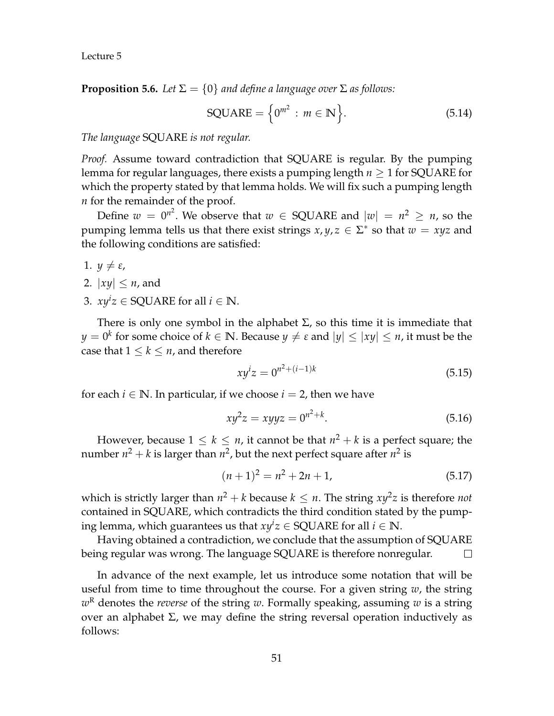**Proposition 5.6.** *Let*  $\Sigma = \{0\}$  *and define a language over*  $\Sigma$  *as follows:* 

$$
SQUARE = \left\{0^{m^2} : m \in \mathbb{N}\right\}.
$$
 (5.14)

*The language* SQUARE *is not regular.*

*Proof.* Assume toward contradiction that SQUARE is regular. By the pumping lemma for regular languages, there exists a pumping length *n* ≥ 1 for SQUARE for which the property stated by that lemma holds. We will fix such a pumping length *n* for the remainder of the proof.

Define  $w = 0^{n^2}$ . We observe that  $w \in \text{SQUARE}$  and  $|w| = n^2 \ge n$ , so the pumping lemma tells us that there exist strings  $x, y, z \in \Sigma^*$  so that  $w = xyz$  and the following conditions are satisfied:

- 1.  $y \neq \varepsilon$ ,
- 2.  $|xy| \leq n$ , and
- 3.  $xy^iz \in \text{SQUARE}$  for all  $i \in \mathbb{N}$ .

There is only one symbol in the alphabet  $\Sigma$ , so this time it is immediate that  $y = 0^k$  for some choice of  $k \in \mathbb{N}.$  Because  $y \neq \varepsilon$  and  $|y| \leq |xy| \leq n$ , it must be the case that  $1 \leq k \leq n$ , and therefore

$$
xy^{i}z = 0^{n^{2} + (i-1)k}
$$
\n(5.15)

for each  $i \in \mathbb{N}$ . In particular, if we choose  $i = 2$ , then we have

$$
xy^2z = xyyz = 0^{n^2 + k}.
$$
 (5.16)

However, because  $1 \leq k \leq n$ , it cannot be that  $n^2 + k$  is a perfect square; the number  $n^2 + k$  is larger than  $n^2$ , but the next perfect square after  $n^2$  is

$$
(n+1)^2 = n^2 + 2n + 1,\tag{5.17}
$$

which is strictly larger than  $n^2 + k$  because  $k \leq n$ . The string  $xy^2z$  is therefore *not* contained in SQUARE, which contradicts the third condition stated by the pumping lemma, which guarantees us that  $xy^iz \in \text{SQUARE}$  for all  $i \in \mathbb{N}$ .

Having obtained a contradiction, we conclude that the assumption of SQUARE being regular was wrong. The language SQUARE is therefore nonregular.  $\Box$ 

In advance of the next example, let us introduce some notation that will be useful from time to time throughout the course. For a given string *w*, the string *w* <sup>R</sup> denotes the *reverse* of the string *w*. Formally speaking, assuming *w* is a string over an alphabet  $\Sigma$ , we may define the string reversal operation inductively as follows: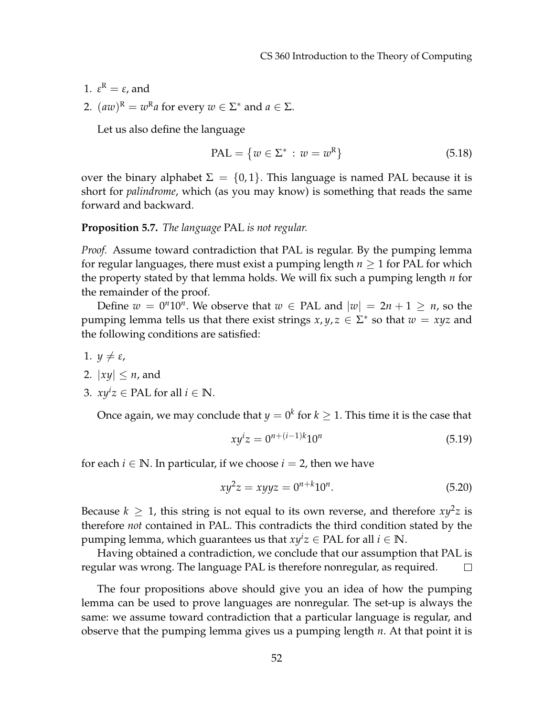- 1.  $\varepsilon^{\text{R}} = \varepsilon$ , and
- 2.  $(aw)^R = w^R a$  for every  $w \in \Sigma^*$  and  $a \in \Sigma$ .

Let us also define the language

$$
PAL = \{ w \in \Sigma^* : w = w^R \}
$$
 (5.18)

over the binary alphabet  $\Sigma = \{0, 1\}$ . This language is named PAL because it is short for *palindrome*, which (as you may know) is something that reads the same forward and backward.

#### **Proposition 5.7.** *The language* PAL *is not regular.*

*Proof.* Assume toward contradiction that PAL is regular. By the pumping lemma for regular languages, there must exist a pumping length  $n \geq 1$  for PAL for which the property stated by that lemma holds. We will fix such a pumping length *n* for the remainder of the proof.

Define  $w = 0<sup>n</sup>10<sup>n</sup>$ . We observe that  $w \in PAL$  and  $|w| = 2n + 1 \ge n$ , so the pumping lemma tells us that there exist strings  $x, y, z \in \Sigma^*$  so that  $w = xyz$  and the following conditions are satisfied:

- 1.  $y \neq \varepsilon$ ,
- 2.  $|xy| \leq n$ , and
- 3.  $xy^{i}z \in \text{PAL}$  for all  $i \in \mathbb{N}$ .

Once again*,* we may conclude that  $y=0^k$  for  $k\geq 1.$  This time it is the case that

$$
xy^{i}z = 0^{n+(i-1)k}10^{n}
$$
\n(5.19)

for each  $i \in \mathbb{N}$ . In particular, if we choose  $i = 2$ , then we have

$$
xy^2z = xyyz = 0^{n+k}10^n.
$$
 (5.20)

Because  $k \geq 1$ , this string is not equal to its own reverse, and therefore  $xy^2z$  is therefore *not* contained in PAL. This contradicts the third condition stated by the pumping lemma, which guarantees us that  $xy^iz \in \text{PAL}$  for all  $i \in \mathbb{N}$ .

Having obtained a contradiction, we conclude that our assumption that PAL is regular was wrong. The language PAL is therefore nonregular, as required.  $\Box$ 

The four propositions above should give you an idea of how the pumping lemma can be used to prove languages are nonregular. The set-up is always the same: we assume toward contradiction that a particular language is regular, and observe that the pumping lemma gives us a pumping length *n*. At that point it is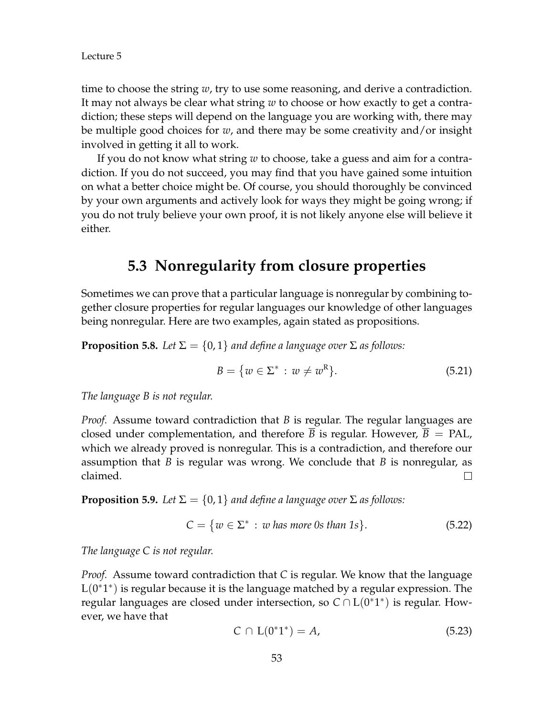time to choose the string *w*, try to use some reasoning, and derive a contradiction. It may not always be clear what string *w* to choose or how exactly to get a contradiction; these steps will depend on the language you are working with, there may be multiple good choices for *w*, and there may be some creativity and/or insight involved in getting it all to work.

If you do not know what string *w* to choose, take a guess and aim for a contradiction. If you do not succeed, you may find that you have gained some intuition on what a better choice might be. Of course, you should thoroughly be convinced by your own arguments and actively look for ways they might be going wrong; if you do not truly believe your own proof, it is not likely anyone else will believe it either.

## **5.3 Nonregularity from closure properties**

Sometimes we can prove that a particular language is nonregular by combining together closure properties for regular languages our knowledge of other languages being nonregular. Here are two examples, again stated as propositions.

**Proposition 5.8.** *Let*  $\Sigma = \{0, 1\}$  *and define a language over*  $\Sigma$  *as follows:* 

$$
B = \{ w \in \Sigma^* : w \neq w^R \}. \tag{5.21}
$$

*The language B is not regular.*

*Proof.* Assume toward contradiction that *B* is regular. The regular languages are closed under complementation, and therefore  $\overline{B}$  is regular. However,  $\overline{B}$  = PAL, which we already proved is nonregular. This is a contradiction, and therefore our assumption that *B* is regular was wrong. We conclude that *B* is nonregular, as claimed.  $\Box$ 

**Proposition 5.9.** *Let*  $\Sigma = \{0, 1\}$  *and define a language over*  $\Sigma$  *as follows:* 

$$
C = \{ w \in \Sigma^* : w \text{ has more 0s than 1s} \}. \tag{5.22}
$$

*The language C is not regular.*

*Proof.* Assume toward contradiction that *C* is regular. We know that the language  $L(0^*1^*)$  is regular because it is the language matched by a regular expression. The regular languages are closed under intersection, so  $C \cap L(0^*1^*)$  is regular. However, we have that

$$
C \cap L(0^*1^*) = A,\tag{5.23}
$$